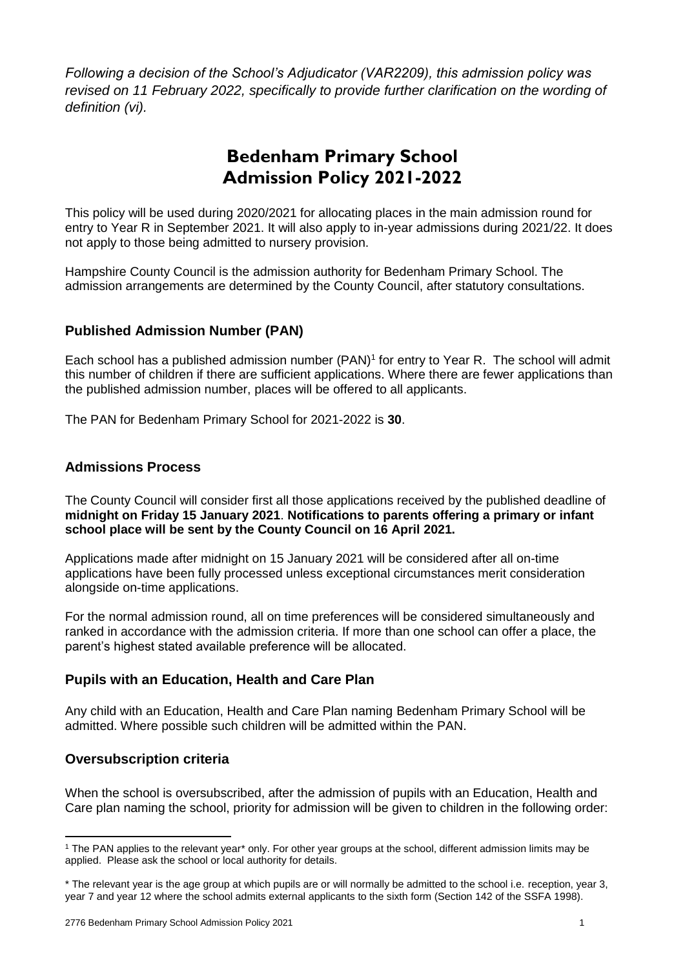*Following a decision of the School's Adjudicator (VAR2209), this admission policy was revised on 11 February 2022, specifically to provide further clarification on the wording of definition (vi).*

# **Bedenham Primary School Admission Policy 2021-2022**

This policy will be used during 2020/2021 for allocating places in the main admission round for entry to Year R in September 2021. It will also apply to in-year admissions during 2021/22. It does not apply to those being admitted to nursery provision.

Hampshire County Council is the admission authority for Bedenham Primary School. The admission arrangements are determined by the County Council, after statutory consultations.

# **Published Admission Number (PAN)**

Each school has a published admission number (PAN)<sup>1</sup> for entry to Year R. The school will admit this number of children if there are sufficient applications. Where there are fewer applications than the published admission number, places will be offered to all applicants.

The PAN for Bedenham Primary School for 2021-2022 is **30**.

# **Admissions Process**

The County Council will consider first all those applications received by the published deadline of **midnight on Friday 15 January 2021**. **Notifications to parents offering a primary or infant school place will be sent by the County Council on 16 April 2021.**

Applications made after midnight on 15 January 2021 will be considered after all on-time applications have been fully processed unless exceptional circumstances merit consideration alongside on-time applications.

For the normal admission round, all on time preferences will be considered simultaneously and ranked in accordance with the admission criteria. If more than one school can offer a place, the parent's highest stated available preference will be allocated.

# **Pupils with an Education, Health and Care Plan**

Any child with an Education, Health and Care Plan naming Bedenham Primary School will be admitted. Where possible such children will be admitted within the PAN.

# **Oversubscription criteria**

**.** 

When the school is oversubscribed, after the admission of pupils with an Education, Health and Care plan naming the school, priority for admission will be given to children in the following order:

<sup>1</sup> The PAN applies to the relevant year\* only. For other year groups at the school, different admission limits may be applied. Please ask the school or local authority for details.

<sup>\*</sup> The relevant year is the age group at which pupils are or will normally be admitted to the school i.e. reception, year 3, year 7 and year 12 where the school admits external applicants to the sixth form (Section 142 of the SSFA 1998).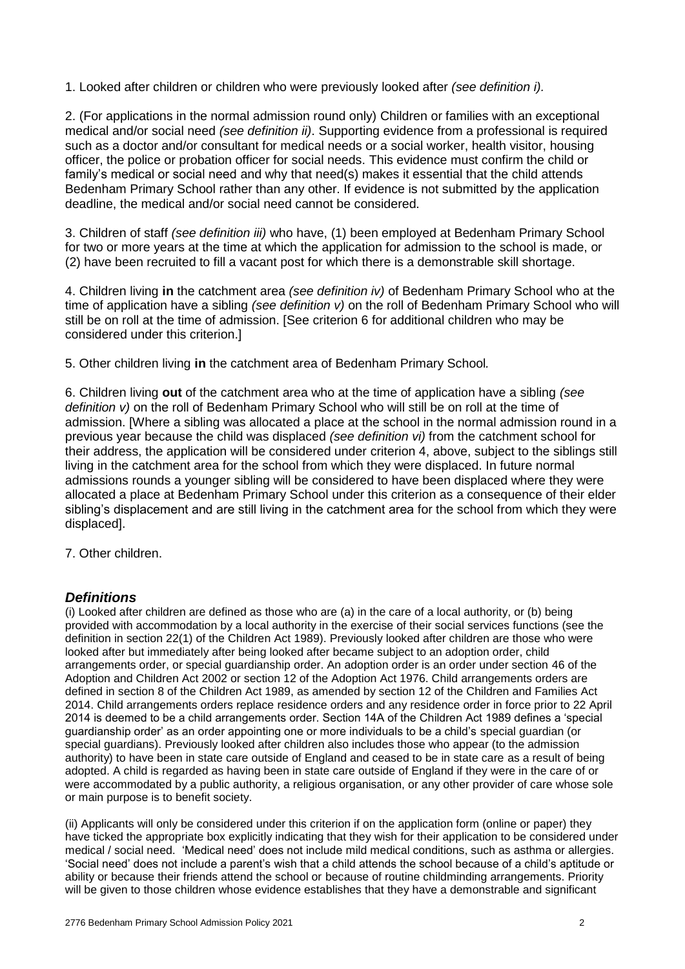1. Looked after children or children who were previously looked after *(see definition i).* 

2. (For applications in the normal admission round only) Children or families with an exceptional medical and/or social need *(see definition ii)*. Supporting evidence from a professional is required such as a doctor and/or consultant for medical needs or a social worker, health visitor, housing officer, the police or probation officer for social needs. This evidence must confirm the child or family's medical or social need and why that need(s) makes it essential that the child attends Bedenham Primary School rather than any other. If evidence is not submitted by the application deadline, the medical and/or social need cannot be considered.

3. Children of staff *(see definition iii)* who have, (1) been employed at Bedenham Primary School for two or more years at the time at which the application for admission to the school is made, or (2) have been recruited to fill a vacant post for which there is a demonstrable skill shortage.

4. Children living **in** the catchment area *(see definition iv)* of Bedenham Primary School who at the time of application have a sibling *(see definition v)* on the roll of Bedenham Primary School who will still be on roll at the time of admission. [See criterion 6 for additional children who may be considered under this criterion.]

5. Other children living **in** the catchment area of Bedenham Primary School*.*

6. Children living **out** of the catchment area who at the time of application have a sibling *(see definition v)* on the roll of Bedenham Primary School who will still be on roll at the time of admission. [Where a sibling was allocated a place at the school in the normal admission round in a previous year because the child was displaced *(see definition vi)* from the catchment school for their address, the application will be considered under criterion 4, above, subject to the siblings still living in the catchment area for the school from which they were displaced. In future normal admissions rounds a younger sibling will be considered to have been displaced where they were allocated a place at Bedenham Primary School under this criterion as a consequence of their elder sibling's displacement and are still living in the catchment area for the school from which they were displaced].

7. Other children.

# *Definitions*

(i) Looked after children are defined as those who are (a) in the care of a local authority, or (b) being provided with accommodation by a local authority in the exercise of their social services functions (see the definition in section 22(1) of the Children Act 1989). Previously looked after children are those who were looked after but immediately after being looked after became subject to an adoption order, child arrangements order, or special guardianship order. An adoption order is an order under section 46 of the Adoption and Children Act 2002 or section 12 of the Adoption Act 1976. Child arrangements orders are defined in section 8 of the Children Act 1989, as amended by section 12 of the Children and Families Act 2014. Child arrangements orders replace residence orders and any residence order in force prior to 22 April 2014 is deemed to be a child arrangements order. Section 14A of the Children Act 1989 defines a 'special guardianship order' as an order appointing one or more individuals to be a child's special guardian (or special guardians). Previously looked after children also includes those who appear (to the admission authority) to have been in state care outside of England and ceased to be in state care as a result of being adopted. A child is regarded as having been in state care outside of England if they were in the care of or were accommodated by a public authority, a religious organisation, or any other provider of care whose sole or main purpose is to benefit society.

(ii) Applicants will only be considered under this criterion if on the application form (online or paper) they have ticked the appropriate box explicitly indicating that they wish for their application to be considered under medical / social need. 'Medical need' does not include mild medical conditions, such as asthma or allergies. 'Social need' does not include a parent's wish that a child attends the school because of a child's aptitude or ability or because their friends attend the school or because of routine childminding arrangements. Priority will be given to those children whose evidence establishes that they have a demonstrable and significant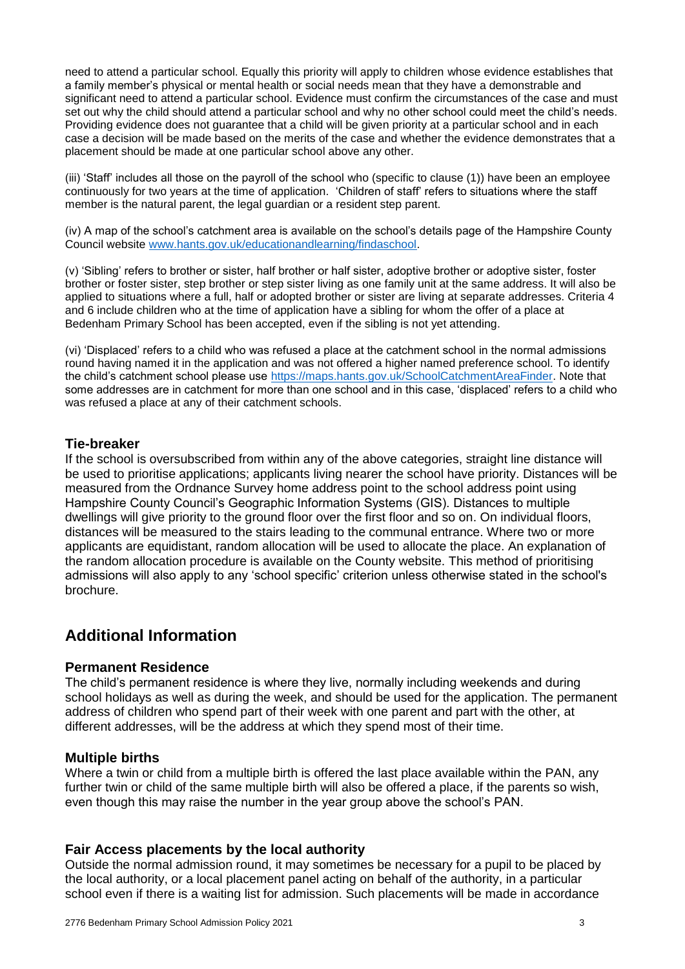need to attend a particular school. Equally this priority will apply to children whose evidence establishes that a family member's physical or mental health or social needs mean that they have a demonstrable and significant need to attend a particular school. Evidence must confirm the circumstances of the case and must set out why the child should attend a particular school and why no other school could meet the child's needs. Providing evidence does not guarantee that a child will be given priority at a particular school and in each case a decision will be made based on the merits of the case and whether the evidence demonstrates that a placement should be made at one particular school above any other.

(iii) 'Staff' includes all those on the payroll of the school who (specific to clause (1)) have been an employee continuously for two years at the time of application. 'Children of staff' refers to situations where the staff member is the natural parent, the legal guardian or a resident step parent.

(iv) A map of the school's catchment area is available on the school's details page of the Hampshire County Council website [www.hants.gov.uk/educationandlearning/findaschool.](http://www.hants.gov.uk/educationandlearning/findaschool)

(v) 'Sibling' refers to brother or sister, half brother or half sister, adoptive brother or adoptive sister, foster brother or foster sister, step brother or step sister living as one family unit at the same address. It will also be applied to situations where a full, half or adopted brother or sister are living at separate addresses. Criteria 4 and 6 include children who at the time of application have a sibling for whom the offer of a place at Bedenham Primary School has been accepted, even if the sibling is not yet attending.

(vi) 'Displaced' refers to a child who was refused a place at the catchment school in the normal admissions round having named it in the application and was not offered a higher named preference school. To identify the child's catchment school please use [https://maps.hants.gov.uk/SchoolCatchmentAreaFinder.](https://maps.hants.gov.uk/SchoolCatchmentAreaFinder/) Note that some addresses are in catchment for more than one school and in this case, 'displaced' refers to a child who was refused a place at any of their catchment schools.

#### **Tie-breaker**

If the school is oversubscribed from within any of the above categories, straight line distance will be used to prioritise applications; applicants living nearer the school have priority. Distances will be measured from the Ordnance Survey home address point to the school address point using Hampshire County Council's Geographic Information Systems (GIS). Distances to multiple dwellings will give priority to the ground floor over the first floor and so on. On individual floors, distances will be measured to the stairs leading to the communal entrance. Where two or more applicants are equidistant, random allocation will be used to allocate the place. An explanation of the random allocation procedure is available on the County website. This method of prioritising admissions will also apply to any 'school specific' criterion unless otherwise stated in the school's brochure.

# **Additional Information**

#### **Permanent Residence**

The child's permanent residence is where they live, normally including weekends and during school holidays as well as during the week, and should be used for the application. The permanent address of children who spend part of their week with one parent and part with the other, at different addresses, will be the address at which they spend most of their time.

#### **Multiple births**

Where a twin or child from a multiple birth is offered the last place available within the PAN, any further twin or child of the same multiple birth will also be offered a place, if the parents so wish, even though this may raise the number in the year group above the school's PAN.

#### **Fair Access placements by the local authority**

Outside the normal admission round, it may sometimes be necessary for a pupil to be placed by the local authority, or a local placement panel acting on behalf of the authority, in a particular school even if there is a waiting list for admission. Such placements will be made in accordance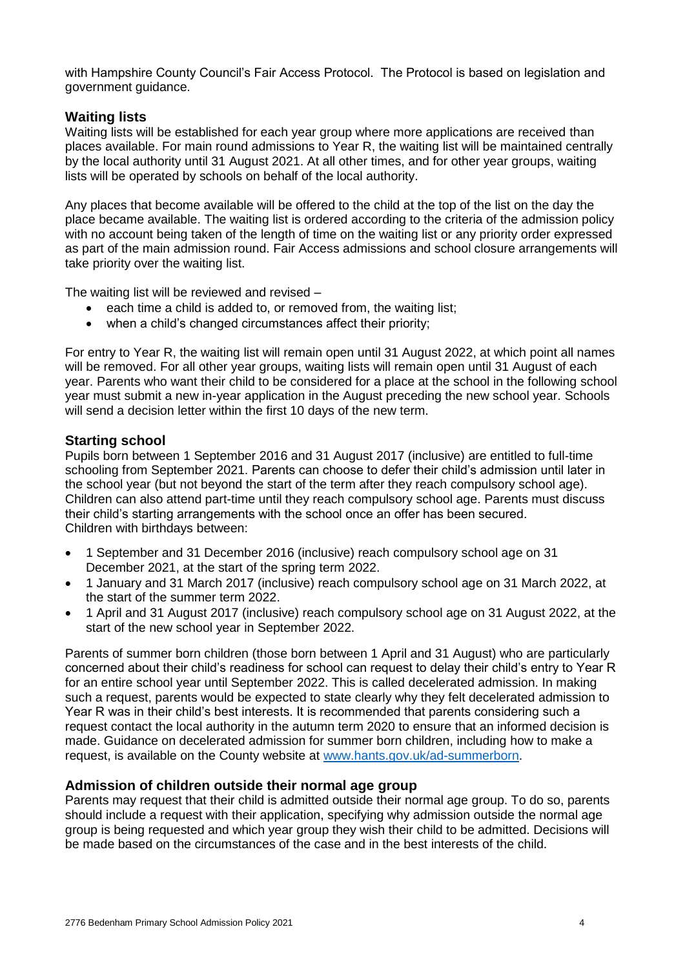with Hampshire County Council's Fair Access Protocol. The Protocol is based on legislation and government guidance.

## **Waiting lists**

Waiting lists will be established for each year group where more applications are received than places available. For main round admissions to Year R, the waiting list will be maintained centrally by the local authority until 31 August 2021. At all other times, and for other year groups, waiting lists will be operated by schools on behalf of the local authority.

Any places that become available will be offered to the child at the top of the list on the day the place became available. The waiting list is ordered according to the criteria of the admission policy with no account being taken of the length of time on the waiting list or any priority order expressed as part of the main admission round. Fair Access admissions and school closure arrangements will take priority over the waiting list.

The waiting list will be reviewed and revised –

- each time a child is added to, or removed from, the waiting list;
- when a child's changed circumstances affect their priority;

For entry to Year R, the waiting list will remain open until 31 August 2022, at which point all names will be removed. For all other year groups, waiting lists will remain open until 31 August of each year. Parents who want their child to be considered for a place at the school in the following school year must submit a new in-year application in the August preceding the new school year. Schools will send a decision letter within the first 10 days of the new term.

#### **Starting school**

Pupils born between 1 September 2016 and 31 August 2017 (inclusive) are entitled to full-time schooling from September 2021. Parents can choose to defer their child's admission until later in the school year (but not beyond the start of the term after they reach compulsory school age). Children can also attend part-time until they reach compulsory school age. Parents must discuss their child's starting arrangements with the school once an offer has been secured. Children with birthdays between:

- 1 September and 31 December 2016 (inclusive) reach compulsory school age on 31 December 2021, at the start of the spring term 2022.
- 1 January and 31 March 2017 (inclusive) reach compulsory school age on 31 March 2022, at the start of the summer term 2022.
- 1 April and 31 August 2017 (inclusive) reach compulsory school age on 31 August 2022, at the start of the new school year in September 2022.

Parents of summer born children (those born between 1 April and 31 August) who are particularly concerned about their child's readiness for school can request to delay their child's entry to Year R for an entire school year until September 2022. This is called decelerated admission. In making such a request, parents would be expected to state clearly why they felt decelerated admission to Year R was in their child's best interests. It is recommended that parents considering such a request contact the local authority in the autumn term 2020 to ensure that an informed decision is made. Guidance on decelerated admission for summer born children, including how to make a request, is available on the County website at [www.hants.gov.uk/ad-summerborn.](http://www.hants.gov.uk/ad-summerborn)

#### **Admission of children outside their normal age group**

Parents may request that their child is admitted outside their normal age group. To do so, parents should include a request with their application, specifying why admission outside the normal age group is being requested and which year group they wish their child to be admitted. Decisions will be made based on the circumstances of the case and in the best interests of the child.